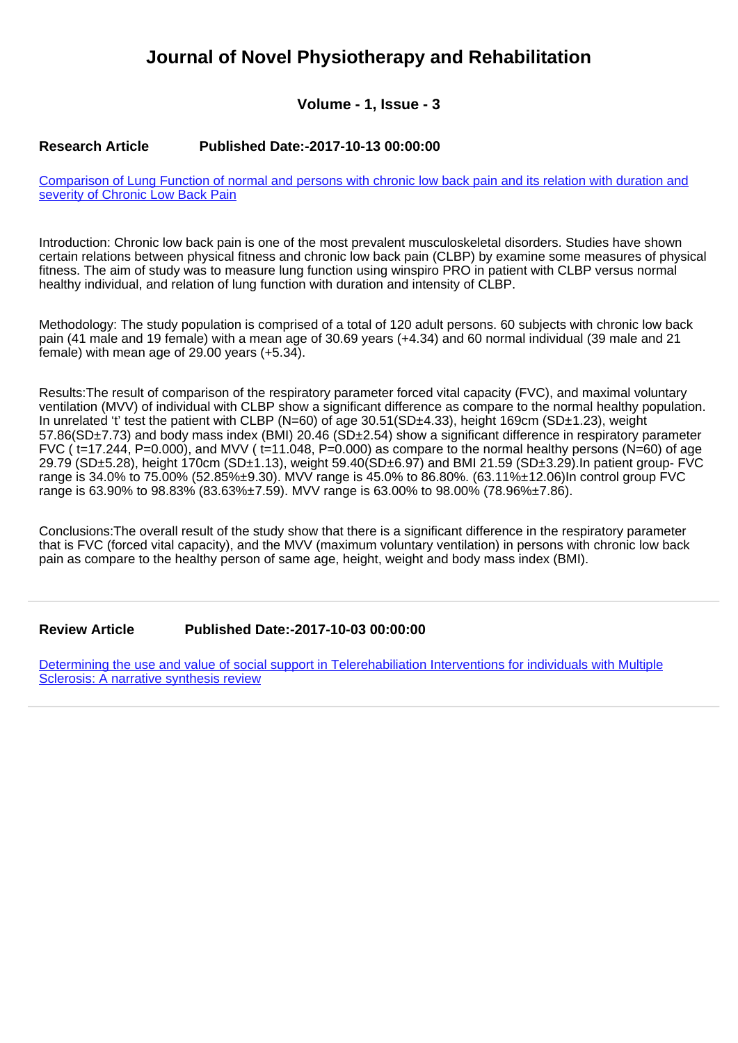# **Journal of Novel Physiotherapy and Rehabilitation**

**Volume - 1, Issue - 3**

### **Research Article Published Date:-2017-10-13 00:00:00**

[Comparison of Lung Function of normal and persons with chronic low back pain and its relation with duration and](https://www.rehabilityjournal.com/articles/jnpr-aid1015.pdf) [severity of Chronic Low Back Pain](https://www.rehabilityjournal.com/articles/jnpr-aid1015.pdf)

Introduction: Chronic low back pain is one of the most prevalent musculoskeletal disorders. Studies have shown certain relations between physical fitness and chronic low back pain (CLBP) by examine some measures of physical fitness. The aim of study was to measure lung function using winspiro PRO in patient with CLBP versus normal healthy individual, and relation of lung function with duration and intensity of CLBP.

Methodology: The study population is comprised of a total of 120 adult persons. 60 subjects with chronic low back pain (41 male and 19 female) with a mean age of 30.69 years (+4.34) and 60 normal individual (39 male and 21 female) with mean age of 29.00 years (+5.34).

Results:The result of comparison of the respiratory parameter forced vital capacity (FVC), and maximal voluntary ventilation (MVV) of individual with CLBP show a significant difference as compare to the normal healthy population. In unrelated 't' test the patient with CLBP (N=60) of age 30.51(SD±4.33), height 169cm (SD±1.23), weight 57.86(SD±7.73) and body mass index (BMI) 20.46 (SD±2.54) show a significant difference in respiratory parameter FVC ( $t=17.244$ , P=0.000), and MVV ( $t=11.048$ , P=0.000) as compare to the normal healthy persons (N=60) of age 29.79 (SD±5.28), height 170cm (SD±1.13), weight 59.40(SD±6.97) and BMI 21.59 (SD±3.29).In patient group- FVC range is 34.0% to 75.00% (52.85%±9.30). MVV range is 45.0% to 86.80%. (63.11%±12.06)In control group FVC range is 63.90% to 98.83% (83.63%±7.59). MVV range is 63.00% to 98.00% (78.96%±7.86).

Conclusions:The overall result of the study show that there is a significant difference in the respiratory parameter that is FVC (forced vital capacity), and the MVV (maximum voluntary ventilation) in persons with chronic low back pain as compare to the healthy person of same age, height, weight and body mass index (BMI).

#### **Review Article Published Date:-2017-10-03 00:00:00**

[Determining the use and value of social support in Telerehabiliation Interventions for individuals with Multiple](https://www.rehabilityjournal.com/articles/jnpr-aid1014.pdf) [Sclerosis: A narrative synthesis review](https://www.rehabilityjournal.com/articles/jnpr-aid1014.pdf)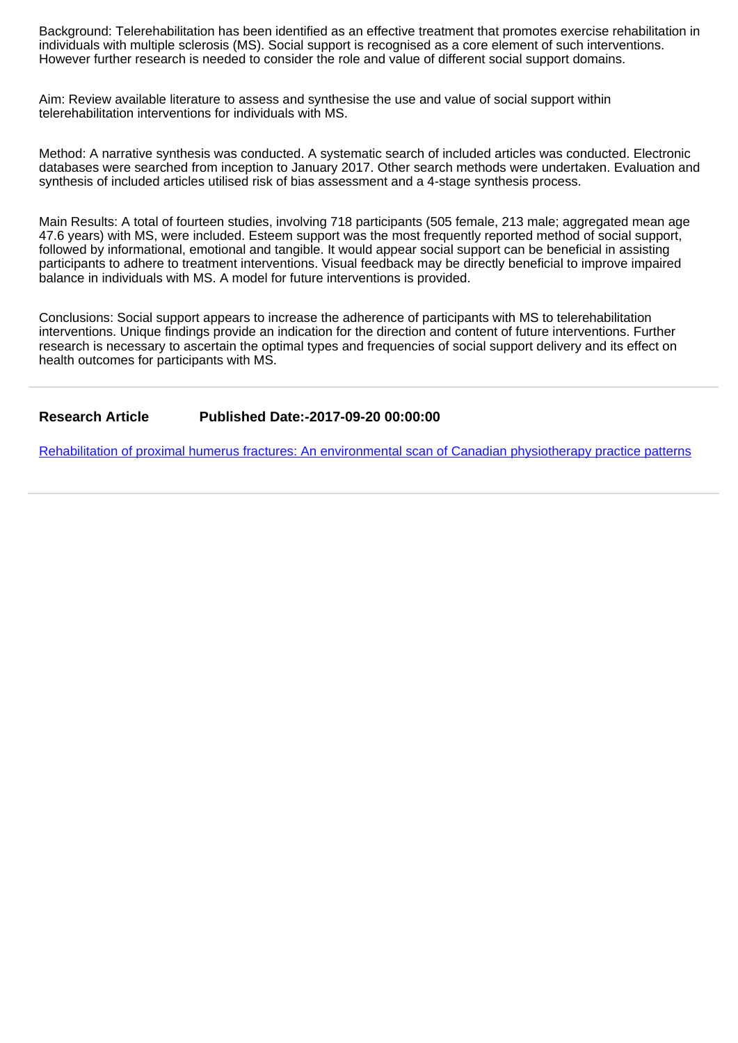Background: Telerehabilitation has been identified as an effective treatment that promotes exercise rehabilitation in individuals with multiple sclerosis (MS). Social support is recognised as a core element of such interventions. However further research is needed to consider the role and value of different social support domains.

Aim: Review available literature to assess and synthesise the use and value of social support within telerehabilitation interventions for individuals with MS.

Method: A narrative synthesis was conducted. A systematic search of included articles was conducted. Electronic databases were searched from inception to January 2017. Other search methods were undertaken. Evaluation and synthesis of included articles utilised risk of bias assessment and a 4-stage synthesis process.

Main Results: A total of fourteen studies, involving 718 participants (505 female, 213 male; aggregated mean age 47.6 years) with MS, were included. Esteem support was the most frequently reported method of social support, followed by informational, emotional and tangible. It would appear social support can be beneficial in assisting participants to adhere to treatment interventions. Visual feedback may be directly beneficial to improve impaired balance in individuals with MS. A model for future interventions is provided.

Conclusions: Social support appears to increase the adherence of participants with MS to telerehabilitation interventions. Unique findings provide an indication for the direction and content of future interventions. Further research is necessary to ascertain the optimal types and frequencies of social support delivery and its effect on health outcomes for participants with MS.

**Research Article Published Date:-2017-09-20 00:00:00**

[Rehabilitation of proximal humerus fractures: An environmental scan of Canadian physiotherapy practice patterns](https://www.rehabilityjournal.com/articles/jnpr-aid1013.pdf)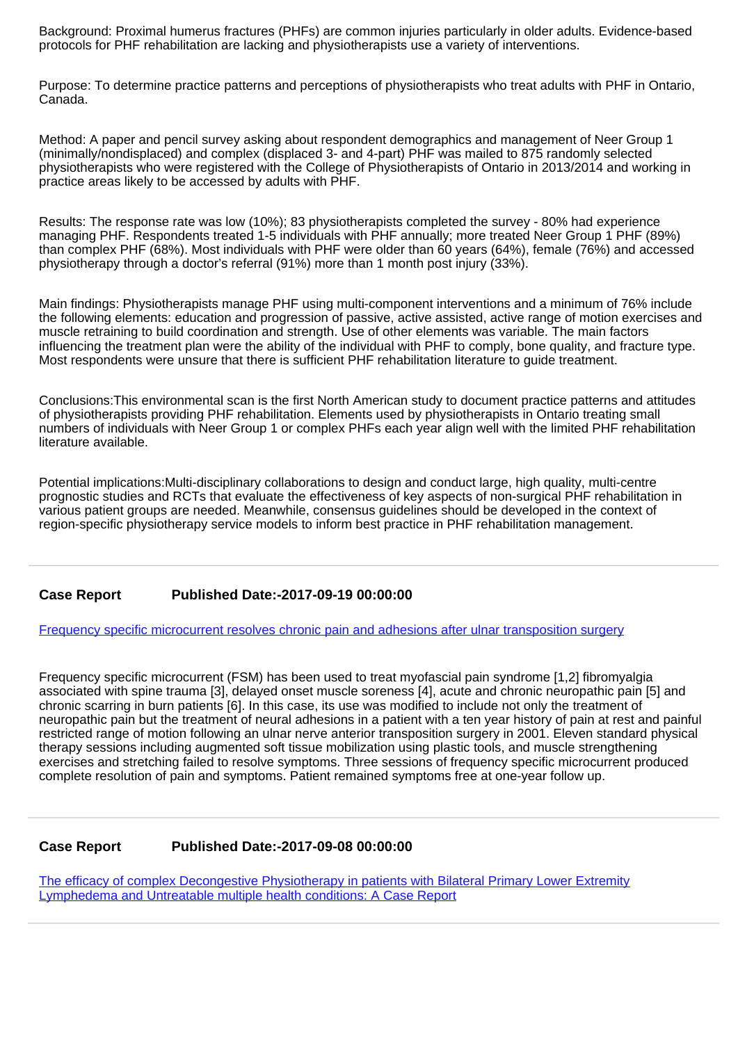Background: Proximal humerus fractures (PHFs) are common injuries particularly in older adults. Evidence-based protocols for PHF rehabilitation are lacking and physiotherapists use a variety of interventions.

Purpose: To determine practice patterns and perceptions of physiotherapists who treat adults with PHF in Ontario, Canada.

Method: A paper and pencil survey asking about respondent demographics and management of Neer Group 1 (minimally/nondisplaced) and complex (displaced 3- and 4-part) PHF was mailed to 875 randomly selected physiotherapists who were registered with the College of Physiotherapists of Ontario in 2013/2014 and working in practice areas likely to be accessed by adults with PHF.

Results: The response rate was low (10%); 83 physiotherapists completed the survey - 80% had experience managing PHF. Respondents treated 1-5 individuals with PHF annually; more treated Neer Group 1 PHF (89%) than complex PHF (68%). Most individuals with PHF were older than 60 years (64%), female (76%) and accessed physiotherapy through a doctor's referral (91%) more than 1 month post injury (33%).

Main findings: Physiotherapists manage PHF using multi-component interventions and a minimum of 76% include the following elements: education and progression of passive, active assisted, active range of motion exercises and muscle retraining to build coordination and strength. Use of other elements was variable. The main factors influencing the treatment plan were the ability of the individual with PHF to comply, bone quality, and fracture type. Most respondents were unsure that there is sufficient PHF rehabilitation literature to guide treatment.

Conclusions:This environmental scan is the first North American study to document practice patterns and attitudes of physiotherapists providing PHF rehabilitation. Elements used by physiotherapists in Ontario treating small numbers of individuals with Neer Group 1 or complex PHFs each year align well with the limited PHF rehabilitation literature available.

Potential implications:Multi-disciplinary collaborations to design and conduct large, high quality, multi-centre prognostic studies and RCTs that evaluate the effectiveness of key aspects of non-surgical PHF rehabilitation in various patient groups are needed. Meanwhile, consensus guidelines should be developed in the context of region-specific physiotherapy service models to inform best practice in PHF rehabilitation management.

## **Case Report Published Date:-2017-09-19 00:00:00**

[Frequency specific microcurrent resolves chronic pain and adhesions after ulnar transposition surgery](https://www.rehabilityjournal.com/articles/jnpr-aid1012.pdf)

Frequency specific microcurrent (FSM) has been used to treat myofascial pain syndrome [1,2] fibromyalgia associated with spine trauma [3], delayed onset muscle soreness [4], acute and chronic neuropathic pain [5] and chronic scarring in burn patients [6]. In this case, its use was modified to include not only the treatment of neuropathic pain but the treatment of neural adhesions in a patient with a ten year history of pain at rest and painful restricted range of motion following an ulnar nerve anterior transposition surgery in 2001. Eleven standard physical therapy sessions including augmented soft tissue mobilization using plastic tools, and muscle strengthening exercises and stretching failed to resolve symptoms. Three sessions of frequency specific microcurrent produced complete resolution of pain and symptoms. Patient remained symptoms free at one-year follow up.

### **Case Report Published Date:-2017-09-08 00:00:00**

[The efficacy of complex Decongestive Physiotherapy in patients with Bilateral Primary Lower Extremity](https://www.rehabilityjournal.com/articles/jnpr-aid1011.pdf) [Lymphedema and Untreatable multiple health conditions: A Case Report](https://www.rehabilityjournal.com/articles/jnpr-aid1011.pdf)